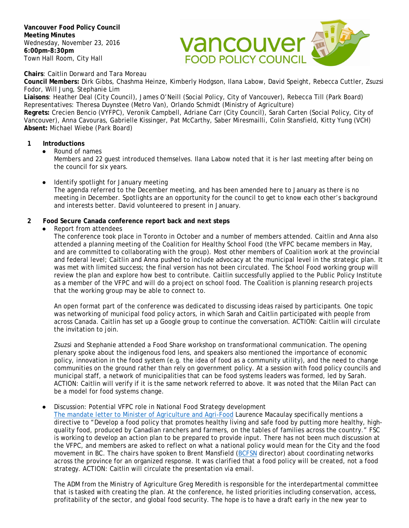**Vancouver Food Policy Council Meeting Minutes** Wednesday, November 23, 2016 **6:00pm-8:30pm** Town Hall Room, City Hall



**Chairs**: Caitlin Dorward and Tara Moreau

**Council Members:** Dirk Gibbs, Chashma Heinze, Kimberly Hodgson, Ilana Labow, David Speight, Rebecca Cuttler, Zsuzsi Fodor, Will Jung, Stephanie Lim

**Liaisons**: Heather Deal (City Council), James O'Neill (Social Policy, City of Vancouver), Rebecca Till (Park Board) Representatives: Theresa Duynstee (Metro Van), Orlando Schmidt (Ministry of Agriculture)

**Regrets:** Crecien Bencio (VYFPC), Veronik Campbell, Adriane Carr (City Council), Sarah Carten (Social Policy, City of Vancouver), Anna Cavouras, Gabrielle Kissinger, Pat McCarthy, Saber Miresmailli, Colin Stansfield, Kitty Yung (VCH) **Absent:** Michael Wiebe (Park Board)

#### **1 Introductions**

● Round of names

Members and 22 guest introduced themselves. Ilana Labow noted that it is her last meeting after being on the council for six years.

● Identify spotlight for January meeting

The agenda referred to the December meeting, and has been amended here to January as there is no meeting in December. Spotlights are an opportunity for the council to get to know each other's background and interests better. David volunteered to present in January.

### **2 Food Secure Canada conference report back and next steps**

● Report from attendees

The conference took place in Toronto in October and a number of members attended. Caitlin and Anna also attended a planning meeting of the Coalition for Healthy School Food (the VFPC became members in May, and are committed to collaborating with the group). Most other members of Coalition work at the provincial and federal level; Caitlin and Anna pushed to include advocacy at the municipal level in the strategic plan. It was met with limited success; the final version has not been circulated. The School Food working group will review the plan and explore how best to contribute. Caitlin successfully applied to the Public Policy Institute as a member of the VFPC and will do a project on school food. The Coalition is planning research projects that the working group may be able to connect to.

An open format part of the conference was dedicated to discussing ideas raised by participants. One topic was networking of municipal food policy actors, in which Sarah and Caitlin participated with people from across Canada. Caitlin has set up a Google group to continue the conversation. ACTION: Caitlin will circulate the invitation to join.

Zsuzsi and Stephanie attended a Food Share workshop on transformational communication. The opening plenary spoke about the indigenous food lens, and speakers also mentioned the importance of economic policy, innovation in the food system (e.g. the idea of food as a community utility), and the need to change communities on the ground rather than rely on government policy. At a session with food policy councils and municipal staff, a network of municipalities that can be food systems leaders was formed, led by Sarah. ACTION: Caitlin will verify if it is the same network referred to above. It was noted that the Milan Pact can be a model for food systems change.

#### Discussion: Potential VFPC role in National Food Strategy development

[The mandate letter to Minister of Agriculture and Agri-Food](http://pm.gc.ca/eng/minister-agriculture-and-agri-food-mandate-letter) Laurence Macaulay specifically mentions a directive to "Develop a food policy that promotes healthy living and safe food by putting more healthy, highquality food, produced by Canadian ranchers and farmers, on the tables of families across the country." FSC is working to develop an action plan to be prepared to provide input. There has not been much discussion at the VFPC, and members are asked to reflect on what a national policy would mean for the City and the food movement in BC. The chairs have spoken to Brent Mansfield [\(BCFSN](https://bcfsn.org/) director) about coordinating networks across the province for an organized response. It was clarified that a food *policy* will be created, not a food strategy. ACTION: Caitlin will circulate the presentation via email.

The ADM from the Ministry of Agriculture Greg Meredith is responsible for the interdepartmental committee that is tasked with creating the plan. At the conference, he listed priorities including conservation, access, profitability of the sector, and global food security. The hope is to have a draft early in the new year to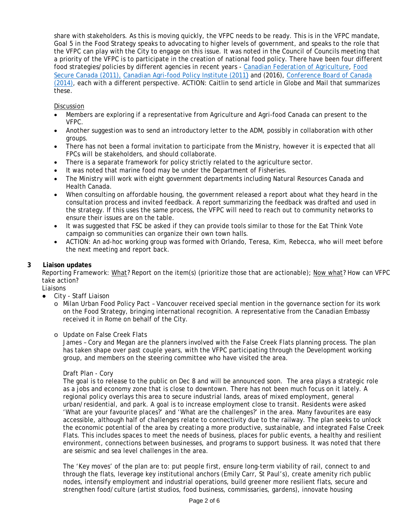share with stakeholders. As this is moving quickly, the VFPC needs to be ready. This is in the VFPC mandate, Goal 5 in the Food Strategy speaks to advocating to higher levels of government, and speaks to the role that the VFPC can play with the City to engage on this issue. It was noted in the Council of Councils meeting that a priority of the VFPC is to participate in the creation of national food policy. There have been four different food strategies/policies by different agencies in recent years - [Canadian Federation](http://www.cfa-fca.ca/programs-projects/national-food-strategy) of Agriculture, [Food](http://foodsecurecanada.org/sites/default/files/fsc-resetting-2015_web.pdf)  [Secure Canada](http://foodsecurecanada.org/sites/default/files/fsc-resetting-2015_web.pdf) (2011), [Canadian Agri-food Policy](http://capi-icpa.ca/destinations/CAPI-Agri-Food_Destination_FULL.pdf) Institute (2011) and (2016), [Conference Board of Canada](http://capi-icpa.ca/destinations/CAPI-Agri-Food_Destination_FULL.pdf)  [\(2014\),](http://capi-icpa.ca/destinations/CAPI-Agri-Food_Destination_FULL.pdf) each with a different perspective. ACTION: Caitlin to send article in Globe and Mail that summarizes these.

### **Discussion**

- Members are exploring if a representative from Agriculture and Agri-food Canada can present to the VFPC.
- Another suggestion was to send an introductory letter to the ADM, possibly in collaboration with other groups.
- There has not been a formal invitation to participate from the Ministry, however it is expected that all FPCs will be stakeholders, and should collaborate.
- There is a separate framework for policy strictly related to the agriculture sector.
- It was noted that marine food may be under the Department of Fisheries.
- The Ministry will work with eight government departments including Natural Resources Canada and Health Canada.
- When consulting on affordable housing, the government released a report about what they heard in the consultation process and invited feedback. A report summarizing the feedback was drafted and used in the strategy. If this uses the same process, the VFPC will need to reach out to community networks to ensure their issues are on the table.
- It was suggested that FSC be asked if they can provide tools similar to those for the Eat Think Vote campaign so communities can organize their own town halls.
- ACTION: An ad-hoc working group was formed with Orlando, Teresa, Kim, Rebecca, who will meet before the next meeting and report back.

### **3 Liaison updates**

*Reporting Framework: What*? Report on the item(s) (prioritize those that are actionable); *Now what*? How can VFPC take action?

*Liaisons*

- City Staff Liaison
	- o Milan Urban Food Policy Pact Vancouver received special mention in the governance section for its work on the Food Strategy, bringing international recognition. A representative from the Canadian Embassy received it in Rome on behalf of the City.
	- o Update on False Creek Flats

James – Cory and Megan are the planners involved with the False Creek Flats planning process. The plan has taken shape over past couple years, with the VFPC participating through the Development working group, and members on the steering committee who have visited the area.

### Draft Plan - Cory

The goal is to release to the public on Dec 8 and will be announced soon. The area plays a strategic role as a jobs and economy zone that is close to downtown. There has not been much focus on it lately. A regional policy overlays this area to secure industrial lands, areas of mixed employment, general urban/residential, and park. A goal is to increase employment close to transit. Residents were asked 'What are your favourite places?' and 'What are the challenges?' in the area. Many favourites are easy accessible, although half of challenges relate to connectivity due to the railway. The plan seeks to unlock the economic potential of the area by creating a more productive, sustainable, and integrated False Creek Flats. This includes spaces to meet the needs of business, places for public events, a healthy and resilient environment, connections between businesses, and programs to support business. It was noted that there are seismic and sea level challenges in the area.

The 'Key moves' of the plan are to: put people first, ensure long-term viability of rail, connect to and through the flats, leverage key institutional anchors (Emily Carr, St Paul's), create amenity rich public nodes, intensify employment and industrial operations, build greener more resilient flats, secure and strengthen food/culture (artist studios, food business, commissaries, gardens), innovate housing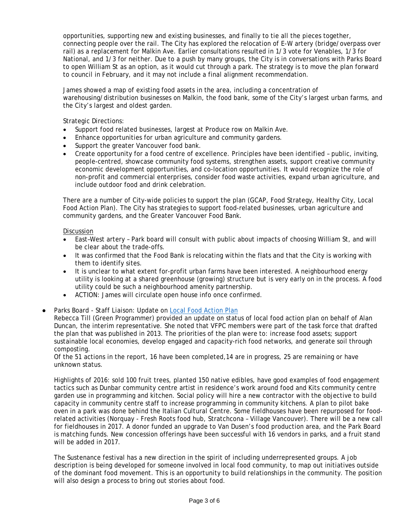opportunities, supporting new and existing businesses, and finally to tie all the pieces together, connecting people over the rail. The City has explored the relocation of E-W artery (bridge/overpass over rail) as a replacement for Malkin Ave. Earlier consultations resulted in 1/3 vote for Venables, 1/3 for National, and 1/3 for neither. Due to a push by many groups, the City is in conversations with Parks Board to open William St as an option, as it would cut through a park. The strategy is to move the plan forward to council in February, and it may not include a final alignment recommendation.

James showed a map of existing food assets in the area, including a concentration of warehousing/distribution businesses on Malkin, the food bank, some of the City's largest urban farms, and the City's largest and oldest garden.

Strategic Directions:

- Support food related businesses, largest at Produce row on Malkin Ave.
- Enhance opportunities for urban agriculture and community gardens.
- Support the greater Vancouver food bank.
- Create opportunity for a food centre of excellence. Principles have been identified public, inviting, people-centred, showcase community food systems, strengthen assets, support creative community economic development opportunities, and co-location opportunities. It would recognize the role of non-profit and commercial enterprises, consider food waste activities, expand urban agriculture, and include outdoor food and drink celebration.

There are a number of City-wide policies to support the plan (GCAP, Food Strategy, Healthy City, Local Food Action Plan). The City has strategies to support food-related businesses, urban agriculture and community gardens, and the Greater Vancouver Food Bank.

### Discussion

- East–West artery Park board will consult with public about impacts of choosing William St, and will be clear about the trade-offs.
- It was confirmed that the Food Bank is relocating within the flats and that the City is working with them to identify sites.
- It is unclear to what extent for-profit urban farms have been interested. A neighbourhood energy utility is looking at a shared greenhouse (growing) structure but is very early on in the process. A food utility could be such a neighbourhood amenity partnership.
- ACTION: James will circulate open house info once confirmed.
- Parks Board Staff Liaison: Update on [Local Food Action Plan](http://vancouver.ca/files/cov/Local-food-action-plan.pdf)

Rebecca Till (Green Programmer) provided an update on status of local food action plan on behalf of Alan Duncan, the interim representative. She noted that VFPC members were part of the task force that drafted the plan that was published in 2013. The priorities of the plan were to: increase food assets; support sustainable local economies, develop engaged and capacity-rich food networks, and generate soil through composting.

Of the 51 actions in the report, 16 have been completed,14 are in progress, 25 are remaining or have unknown status.

Highlights of 2016: sold 100 fruit trees, planted 150 native edibles, have good examples of food engagement tactics such as Dunbar community centre artist in residence's work around food and Kits community centre garden use in programming and kitchen. Social policy will hire a new contractor with the objective to build capacity in community centre staff to increase programming in community kitchens. A plan to pilot bake oven in a park was done behind the Italian Cultural Centre. Some fieldhouses have been repurposed for foodrelated activities (Norquay - Fresh Roots food hub, Stratchcona – Village Vancouver). There will be a new call for fieldhouses in 2017. A donor funded an upgrade to Van Dusen's food production area, and the Park Board is matching funds. New concession offerings have been successful with 16 vendors in parks, and a fruit stand will be added in 2017.

The Sustenance festival has a new direction in the spirit of including underrepresented groups. A job description is being developed for someone involved in local food community, to map out initiatives outside of the dominant food movement. This is an opportunity to build relationships in the community. The position will also design a process to bring out stories about food.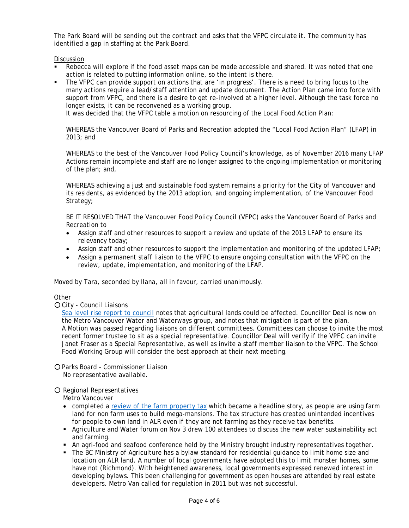The Park Board will be sending out the contract and asks that the VFPC circulate it. The community has identified a gap in staffing at the Park Board.

Discussion

- Rebecca will explore if the food asset maps can be made accessible and shared. It was noted that one action is related to putting information online, so the intent is there.
- The VFPC can provide support on actions that are 'in progress'. There is a need to bring focus to the many actions require a lead/staff attention and update document. The Action Plan came into force with support from VFPC, and there is a desire to get re-involved at a higher level. Although the task force no longer exists, it can be reconvened as a working group.

It was decided that the VFPC table a motion on resourcing of the Local Food Action Plan:

WHEREAS the Vancouver Board of Parks and Recreation adopted the "Local Food Action Plan" (LFAP) in 2013; and

WHEREAS to the best of the Vancouver Food Policy Council's knowledge, as of November 2016 many LFAP Actions remain incomplete and staff are no longer assigned to the ongoing implementation or monitoring of the plan; and,

WHEREAS achieving a just and sustainable food system remains a priority for the City of Vancouver and its residents, as evidenced by the 2013 adoption, and ongoing implementation, of the Vancouver Food Strategy;

BE IT RESOLVED THAT the Vancouver Food Policy Council (VFPC) asks the Vancouver Board of Parks and Recreation to

- Assign staff and other resources to support a review and update of the 2013 LFAP to ensure its relevancy today;
- Assign staff and other resources to support the implementation and monitoring of the updated LFAP;
- Assign a permanent staff liaison to the VFPC to ensure ongoing consultation with the VFPC on the review, update, implementation, and monitoring of the LFAP.

Moved by Tara, seconded by Ilana, all in favour, carried unanimously.

## **Other**

○ City - Council Liaisons

[Sea level rise report to council](http://council.vancouver.ca/20161102/pspc20161102.htm) notes that agricultural lands could be affected. Councillor Deal is now on the Metro Vancouver Water and Waterways group, and notes that mitigation is part of the plan. A Motion was passed regarding liaisons on different committees. Committees can choose to invite the most recent former trustee to sit as a special representative. Councillor Deal will verify if the VPFC can invite Janet Fraser as a Special Representative, as well as invite a staff member liaison to the VFPC. The School Food Working Group will consider the best approach at their next meeting.

○ Parks Board - Commissioner Liaison No representative available.

#### ○ Regional Representatives

Metro Vancouver

- completed a [review of the farm property tax](http://www.metrovancouver.org/services/regional-planning/PlanningPublications/FarmPropertyTaxInvestigation.pdf) which became a headline story, as people are using farm land for non farm uses to build mega-mansions. The tax structure has created unintended incentives for people to own land in ALR even if they are not farming as they receive tax benefits.
- Agriculture and Water forum on Nov 3 drew 100 attendees to discuss the new water sustainability act and farming.
- An agri-food and seafood conference held by the Ministry brought industry representatives together.
- The BC Ministry of Agriculture has a bylaw standard for residential guidance to limit home size and location on ALR land. A number of local governments have adopted this to limit monster homes, some have not (Richmond). With heightened awareness, local governments expressed renewed interest in developing bylaws. This been challenging for government as open houses are attended by real estate developers. Metro Van called for regulation in 2011 but was not successful.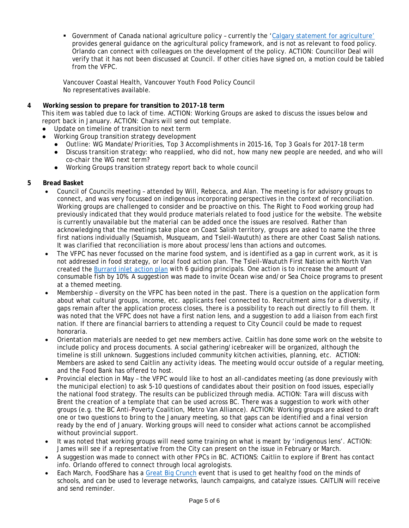Government of Canada national agriculture policy – currently the 'Calgary [statement for agriculture'](http://www.agr.gc.ca/eng/about-us/key-departmental-initiatives/developing-the-next-agricultural-policy-framework/calgary-statement-towards-the-next-policy-framework/?id=1468864509649) provides general guidance on the agricultural policy framework, and is not as relevant to food policy. Orlando can connect with colleagues on the development of the policy. ACTION: Councillor Deal will verify that it has not been discussed at Council. If other cities have signed on, a motion could be tabled from the VFPC.

Vancouver Coastal Health, Vancouver Youth Food Policy Council No representatives available.

## **4 Working session to prepare for transition to 2017-18 term**

This item was tabled due to lack of time. ACTION: Working Groups are asked to discuss the issues below and report back in January. ACTION: Chairs will send out template.

- Update on timeline of transition to next term
- Working Group transition strategy development
	- *Outline: WG Mandate/Priorities, Top 3 Accomplishments in 2015-16, Top 3 Goals for 2017-18 term*
	- *Discuss transition strategy: who reapplied, who did not, how many new people are needed, and who will co-chair the WG next term?*
	- Working Groups transition strategy report back to whole council

## **5 Bread Basket**

- Council of Councils meeting attended by Will, Rebecca, and Alan. The meeting is for advisory groups to connect, and was very focussed on indigenous incorporating perspectives in the context of reconciliation. Working groups are challenged to consider and be proactive on this. The Right to Food working group had previously indicated that they would produce materials related to food justice for the website. The website is currently unavailable but the material can be added once the issues are resolved. Rather than acknowledging that the meetings take place on Coast Salish territory, groups are asked to name the three first nations individually (Squamish, Musqueam, and Tsleil-Waututh) as there are other Coast Salish nations. It was clarified that reconciliation is more about process/lens than actions and outcomes.
- The VFPC has never focussed on the marine food system, and is identified as a gap in current work, as it is not addressed in food strategy, or local food action plan. The Tsleil-Waututh First Nation with North Van created the [Burrard inlet action plan](http://www.twnation.ca/en/Band%20and%20Community/%7E/media/John%20Konovsky/TWN%20Burrard%20Inlet%20Action%20Plan%20Draft%20Report.ashx) with 6 guiding principals. One action is to increase the amount of consumable fish by 10%. A suggestion was made to invite Ocean wise and/or Sea Choice programs to present at a themed meeting.
- Membership diversity on the VFPC has been noted in the past. There is a question on the application form about what cultural groups, income, etc. applicants feel connected to. Recruitment aims for a diversity, if gaps remain after the application process closes, there is a possibility to reach out directly to fill them. It was noted that the VFPC does not have a first nation lens, and a suggestion to add a liaison from each first nation. If there are financial barriers to attending a request to City Council could be made to request honoraria.
- Orientation materials are needed to get new members active. Caitlin has done some work on the website to include policy and process documents. A social gathering/icebreaker will be organized, although the timeline is still unknown. Suggestions included community kitchen activities, planning, etc.ACTION: Members are asked to send Caitlin any activity ideas. The meeting would occur outside of a regular meeting, and the Food Bank has offered to host.
- Provincial election in May the VFPC would like to host an all-candidates meeting (as done previously with the municipal election) to ask 5-10 questions of candidates about their position on food issues, especially the national food strategy. The results can be publicized through media. ACTION: Tara will discuss with Brent the creation of a template that can be used across BC. There was a suggestion to work with other groups (e.g. the BC Anti-Poverty Coalition, Metro Van Alliance). ACTION: Working groups are asked to draft one or two questions to bring to the January meeting, so that gaps can be identified and a final version ready by the end of January. Working groups will need to consider what actions cannot be accomplished without provincial support.
- It was noted that working groups will need some training on what is meant by 'indigenous lens'. ACTION: James will see if a representative from the City can present on the issue in February or March.
- A suggestion was made to connect with other FPCs in BC. ACTIONS: Caitlin to explore if Brent has contact info. Orlando offered to connect through local agrologists.
- Each March, FoodShare has a [Great Big Crunch](http://foodshare.net/program/crunch/) event that is used to get healthy food on the minds of schools, and can be used to leverage networks, launch campaigns, and catalyze issues. CAITLIN will receive and send reminder.